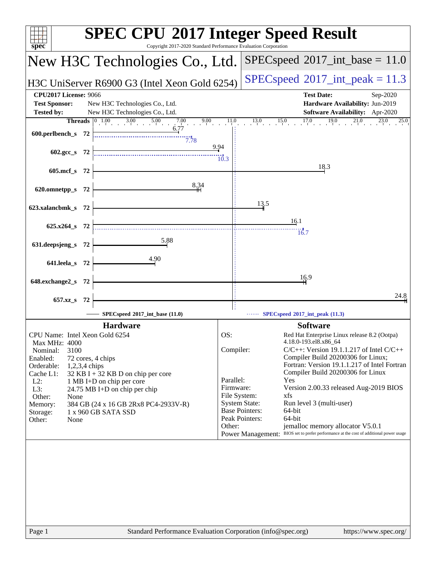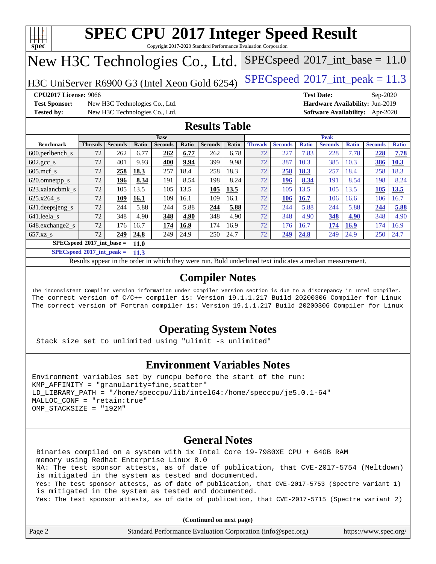

Copyright 2017-2020 Standard Performance Evaluation Corporation

## New H3C Technologies Co., Ltd.

H3C UniServer R6900 G3 (Intel Xeon Gold 6254) [SPECspeed](http://www.spec.org/auto/cpu2017/Docs/result-fields.html#SPECspeed2017intpeak)<sup>®</sup>[2017\\_int\\_peak = 1](http://www.spec.org/auto/cpu2017/Docs/result-fields.html#SPECspeed2017intpeak)1.3

 $SPECspeed^{\circ}2017\_int\_base = 11.0$  $SPECspeed^{\circ}2017\_int\_base = 11.0$ 

**[Test Sponsor:](http://www.spec.org/auto/cpu2017/Docs/result-fields.html#TestSponsor)** New H3C Technologies Co., Ltd. **[Hardware Availability:](http://www.spec.org/auto/cpu2017/Docs/result-fields.html#HardwareAvailability)** Jun-2019 **[Tested by:](http://www.spec.org/auto/cpu2017/Docs/result-fields.html#Testedby)** New H3C Technologies Co., Ltd. **[Software Availability:](http://www.spec.org/auto/cpu2017/Docs/result-fields.html#SoftwareAvailability)** Apr-2020

**[CPU2017 License:](http://www.spec.org/auto/cpu2017/Docs/result-fields.html#CPU2017License)** 9066 **[Test Date:](http://www.spec.org/auto/cpu2017/Docs/result-fields.html#TestDate)** Sep-2020

## **[Results Table](http://www.spec.org/auto/cpu2017/Docs/result-fields.html#ResultsTable)**

|                                     | <b>Base</b>                                       |                |       |                |       |                | <b>Peak</b>  |                |                |              |                |              |                |              |
|-------------------------------------|---------------------------------------------------|----------------|-------|----------------|-------|----------------|--------------|----------------|----------------|--------------|----------------|--------------|----------------|--------------|
| <b>Benchmark</b>                    | <b>Threads</b>                                    | <b>Seconds</b> | Ratio | <b>Seconds</b> | Ratio | <b>Seconds</b> | <b>Ratio</b> | <b>Threads</b> | <b>Seconds</b> | <b>Ratio</b> | <b>Seconds</b> | <b>Ratio</b> | <b>Seconds</b> | <b>Ratio</b> |
| $600.$ perlbench s                  | 72                                                | 262            | 6.77  | 262            | 6.77  | 262            | 6.78         | 72             | 227            | 7.83         | 228            | 7.78         | 228            | 7.78         |
| $602 \text{.} \text{gcc}\text{.}$ s | 72                                                | 401            | 9.93  | 400            | 9.94  | 399            | 9.98         | 72             | 387            | 10.3         | 385            | 10.3         | 386            | 10.3         |
| $605$ .mcf s                        | 72                                                | 258            | 18.3  | 257            | 18.4  | 258            | 18.3         | 72             | 258            | 18.3         | 257            | 18.4         | 258            | 18.3         |
| 620.omnetpp_s                       | 72                                                | 196            | 8.34  | 191            | 8.54  | 198            | 8.24         | 72             | 196            | 8.34         | 191            | 8.54         | 198            | 8.24         |
| 623.xalancbmk s                     | 72                                                | 105            | 13.5  | 105            | 13.5  | 105            | 13.5         | 72             | 105            | 13.5         | 105            | 13.5         | 105            | 13.5         |
| 625.x264 s                          | 72                                                | 109            | 16.1  | 109            | 16.1  | 109            | 16.1         | 72             | 106            | 16.7         | 106            | 16.6         | 106            | 16.7         |
| 631.deepsjeng_s                     | 72                                                | 244            | 5.88  | 244            | 5.88  | 244            | 5.88         | 72             | 244            | 5.88         | 244            | 5.88         | 244            | 5.88         |
| 641.leela s                         | 72                                                | 348            | 4.90  | 348            | 4.90  | 348            | 4.90         | 72             | 348            | 4.90         | 348            | 4.90         | 348            | 4.90         |
| 648.exchange2 s                     | 72                                                | 176            | 16.7  | 174            | 16.9  | 174            | 16.9         | 72             | 176            | 16.7         | 174            | <b>16.9</b>  | 174            | 16.9         |
| $657.xz$ s                          | 72                                                | 249            | 24.8  | 249            | 24.9  | 250            | 24.7         | 72             | 249            | 24.8         | 249            | 24.9         | 250            | 24.7         |
|                                     | $SPECspeed^{\circ}2017$ int base =<br><b>11.0</b> |                |       |                |       |                |              |                |                |              |                |              |                |              |

**[SPECspeed](http://www.spec.org/auto/cpu2017/Docs/result-fields.html#SPECspeed2017intpeak)[2017\\_int\\_peak =](http://www.spec.org/auto/cpu2017/Docs/result-fields.html#SPECspeed2017intpeak) 11.3**

Results appear in the [order in which they were run.](http://www.spec.org/auto/cpu2017/Docs/result-fields.html#RunOrder) Bold underlined text [indicates a median measurement](http://www.spec.org/auto/cpu2017/Docs/result-fields.html#Median).

## **[Compiler Notes](http://www.spec.org/auto/cpu2017/Docs/result-fields.html#CompilerNotes)**

The inconsistent Compiler version information under Compiler Version section is due to a discrepancy in Intel Compiler. The correct version of C/C++ compiler is: Version 19.1.1.217 Build 20200306 Compiler for Linux The correct version of Fortran compiler is: Version 19.1.1.217 Build 20200306 Compiler for Linux

## **[Operating System Notes](http://www.spec.org/auto/cpu2017/Docs/result-fields.html#OperatingSystemNotes)**

Stack size set to unlimited using "ulimit -s unlimited"

## **[Environment Variables Notes](http://www.spec.org/auto/cpu2017/Docs/result-fields.html#EnvironmentVariablesNotes)**

```
Environment variables set by runcpu before the start of the run:
KMP AFFINITY = "granularity=fine, scatter"
LD_LIBRARY_PATH = "/home/speccpu/lib/intel64:/home/speccpu/je5.0.1-64"
MALLOC_CONF = "retain:true"
OMP_STACKSIZE = "192M"
```
## **[General Notes](http://www.spec.org/auto/cpu2017/Docs/result-fields.html#GeneralNotes)**

 Binaries compiled on a system with 1x Intel Core i9-7980XE CPU + 64GB RAM memory using Redhat Enterprise Linux 8.0 NA: The test sponsor attests, as of date of publication, that CVE-2017-5754 (Meltdown) is mitigated in the system as tested and documented. Yes: The test sponsor attests, as of date of publication, that CVE-2017-5753 (Spectre variant 1) is mitigated in the system as tested and documented. Yes: The test sponsor attests, as of date of publication, that CVE-2017-5715 (Spectre variant 2)

**(Continued on next page)**

| Page 2 | Standard Performance Evaluation Corporation (info@spec.org) | https://www.spec.org/ |
|--------|-------------------------------------------------------------|-----------------------|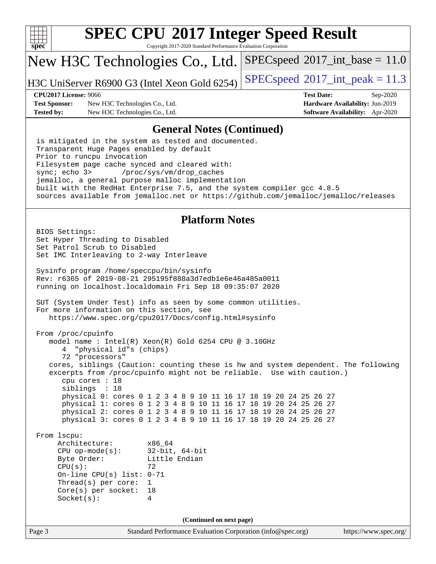

Copyright 2017-2020 Standard Performance Evaluation Corporation

## New H3C Technologies Co., Ltd.

H3C UniServer R6900 G3 (Intel Xeon Gold 6254) [SPECspeed](http://www.spec.org/auto/cpu2017/Docs/result-fields.html#SPECspeed2017intpeak)®[2017\\_int\\_peak = 1](http://www.spec.org/auto/cpu2017/Docs/result-fields.html#SPECspeed2017intpeak)1.3

 $SPECspeed^{\circ}2017\_int\_base = 11.0$  $SPECspeed^{\circ}2017\_int\_base = 11.0$ 

**[Test Sponsor:](http://www.spec.org/auto/cpu2017/Docs/result-fields.html#TestSponsor)** New H3C Technologies Co., Ltd. **[Hardware Availability:](http://www.spec.org/auto/cpu2017/Docs/result-fields.html#HardwareAvailability)** Jun-2019 **[Tested by:](http://www.spec.org/auto/cpu2017/Docs/result-fields.html#Testedby)** New H3C Technologies Co., Ltd. **[Software Availability:](http://www.spec.org/auto/cpu2017/Docs/result-fields.html#SoftwareAvailability)** Apr-2020

**[CPU2017 License:](http://www.spec.org/auto/cpu2017/Docs/result-fields.html#CPU2017License)** 9066 **[Test Date:](http://www.spec.org/auto/cpu2017/Docs/result-fields.html#TestDate)** Sep-2020

### **[General Notes \(Continued\)](http://www.spec.org/auto/cpu2017/Docs/result-fields.html#GeneralNotes)**

 is mitigated in the system as tested and documented. Transparent Huge Pages enabled by default Prior to runcpu invocation Filesystem page cache synced and cleared with: sync; echo 3> /proc/sys/vm/drop\_caches jemalloc, a general purpose malloc implementation built with the RedHat Enterprise 7.5, and the system compiler gcc 4.8.5 sources available from jemalloc.net or <https://github.com/jemalloc/jemalloc/releases>

## **[Platform Notes](http://www.spec.org/auto/cpu2017/Docs/result-fields.html#PlatformNotes)**

Page 3 Standard Performance Evaluation Corporation [\(info@spec.org\)](mailto:info@spec.org) <https://www.spec.org/> BIOS Settings: Set Hyper Threading to Disabled Set Patrol Scrub to Disabled Set IMC Interleaving to 2-way Interleave Sysinfo program /home/speccpu/bin/sysinfo Rev: r6365 of 2019-08-21 295195f888a3d7edb1e6e46a485a0011 running on localhost.localdomain Fri Sep 18 09:35:07 2020 SUT (System Under Test) info as seen by some common utilities. For more information on this section, see <https://www.spec.org/cpu2017/Docs/config.html#sysinfo> From /proc/cpuinfo model name : Intel(R) Xeon(R) Gold 6254 CPU @ 3.10GHz 4 "physical id"s (chips) 72 "processors" cores, siblings (Caution: counting these is hw and system dependent. The following excerpts from /proc/cpuinfo might not be reliable. Use with caution.) cpu cores : 18 siblings : 18 physical 0: cores 0 1 2 3 4 8 9 10 11 16 17 18 19 20 24 25 26 27 physical 1: cores 0 1 2 3 4 8 9 10 11 16 17 18 19 20 24 25 26 27 physical 2: cores 0 1 2 3 4 8 9 10 11 16 17 18 19 20 24 25 26 27 physical 3: cores 0 1 2 3 4 8 9 10 11 16 17 18 19 20 24 25 26 27 From lscpu: Architecture: x86\_64 CPU op-mode(s): 32-bit, 64-bit Byte Order: Little Endian  $CPU(s):$  72 On-line CPU(s) list: 0-71 Thread(s) per core: 1 Core(s) per socket: 18 Socket(s): 4 **(Continued on next page)**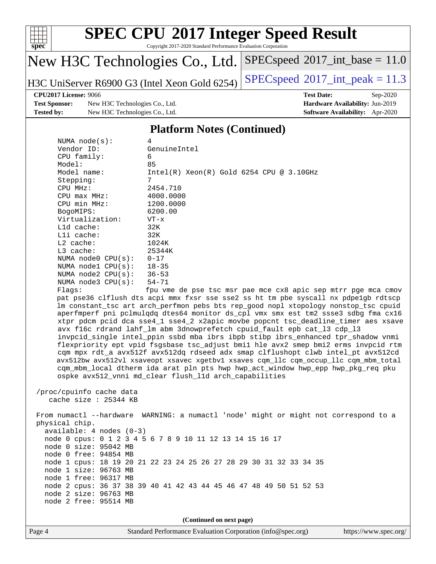

Copyright 2017-2020 Standard Performance Evaluation Corporation

## New H3C Technologies Co., Ltd.

H3C UniServer R6900 G3 (Intel Xeon Gold 6254) [SPECspeed](http://www.spec.org/auto/cpu2017/Docs/result-fields.html#SPECspeed2017intpeak)<sup>®</sup>[2017\\_int\\_peak = 1](http://www.spec.org/auto/cpu2017/Docs/result-fields.html#SPECspeed2017intpeak)1.3

 $SPECspeed^{\circ}2017\_int\_base = 11.0$  $SPECspeed^{\circ}2017\_int\_base = 11.0$ 

### **[CPU2017 License:](http://www.spec.org/auto/cpu2017/Docs/result-fields.html#CPU2017License)** 9066 **[Test Date:](http://www.spec.org/auto/cpu2017/Docs/result-fields.html#TestDate)** Sep-2020

**[Test Sponsor:](http://www.spec.org/auto/cpu2017/Docs/result-fields.html#TestSponsor)** New H3C Technologies Co., Ltd. **[Hardware Availability:](http://www.spec.org/auto/cpu2017/Docs/result-fields.html#HardwareAvailability)** Jun-2019 **[Tested by:](http://www.spec.org/auto/cpu2017/Docs/result-fields.html#Testedby)** New H3C Technologies Co., Ltd. **[Software Availability:](http://www.spec.org/auto/cpu2017/Docs/result-fields.html#SoftwareAvailability)** Apr-2020

## **[Platform Notes \(Continued\)](http://www.spec.org/auto/cpu2017/Docs/result-fields.html#PlatformNotes)**

| NUMA $node(s)$ :        | 4                                                                                   |
|-------------------------|-------------------------------------------------------------------------------------|
| Vendor ID:              | GenuineIntel                                                                        |
| CPU family:             | 6                                                                                   |
| Model:                  | 85                                                                                  |
| Model name:             | $Intel(R)$ Xeon $(R)$ Gold 6254 CPU @ 3.10GHz                                       |
| Stepping:               | 7                                                                                   |
| CPU MHz:                | 2454.710                                                                            |
| $CPU$ max $MHz$ :       | 4000.0000                                                                           |
| CPU min MHz:            | 1200.0000                                                                           |
| BogoMIPS:               | 6200.00                                                                             |
| Virtualization:         | $VT - x$                                                                            |
| L1d cache:              | 32K                                                                                 |
| $L1i$ cache:            | 32K                                                                                 |
| $L2$ cache:             | 1024K                                                                               |
| $L3$ cache:             | 25344K                                                                              |
| NUMA $node0$ $CPU(s):$  | $0 - 17$                                                                            |
| NUMA nodel $CPU(s):$    | $18 - 35$                                                                           |
| NUMA $node2$ $CPU(s):$  | $36 - 53$                                                                           |
| NUMA $node3$ $CPU(s)$ : | 54-71                                                                               |
| Flaqs:                  | fpu vme de pse tsc msr pae mce cx8 apic sep mtrr pge mca cmov                       |
|                         | pat pse36 clflush dts acpi mmx fxsr sse sse2 ss ht tm pbe syscall nx pdpelgb rdtscp |
|                         | lm constant_tsc art arch_perfmon pebs bts rep_good nopl xtopology nonstop_tsc cpuid |
|                         | aperfmperf pni pclmulqdq dtes64 monitor ds_cpl vmx smx est tm2 ssse3 sdbg fma cx16  |
|                         | xtpr pdcm pcid dca sse4 1 sse4 2 x2apic movbe popcnt tsc deadline timer aes xsave   |
|                         | avx f16c rdrand lahf_lm abm 3dnowprefetch cpuid_fault epb cat_13 cdp_13             |
|                         | invpcid_single intel_ppin ssbd mba ibrs ibpb stibp ibrs_enhanced tpr_shadow vnmi    |
|                         | flexpriority ept vpid fsgsbase tsc_adjust bmil hle avx2 smep bmi2 erms invpcid rtm  |
|                         | com mpx rdt a avx512f avx512dg rdseed adx smap clflushopt clwb intel pt avx512cd    |

rms invpcid rtm el\_pt avx512cd avx512bw avx512vl xsaveopt xsavec xgetbv1 xsaves cqm\_llc cqm\_occup\_llc cqm\_mbm\_total cqm\_mbm\_local dtherm ida arat pln pts hwp hwp\_act\_window hwp\_epp hwp\_pkg\_req pku ospke avx512\_vnni md\_clear flush\_l1d arch\_capabilities

```
 /proc/cpuinfo cache data
   cache size : 25344 KB
```
 From numactl --hardware WARNING: a numactl 'node' might or might not correspond to a physical chip. available: 4 nodes (0-3) node 0 cpus: 0 1 2 3 4 5 6 7 8 9 10 11 12 13 14 15 16 17 node 0 size: 95042 MB node 0 free: 94854 MB node 1 cpus: 18 19 20 21 22 23 24 25 26 27 28 29 30 31 32 33 34 35 node 1 size: 96763 MB node 1 free: 96317 MB node 2 cpus: 36 37 38 39 40 41 42 43 44 45 46 47 48 49 50 51 52 53 node 2 size: 96763 MB node 2 free: 95514 MB

**(Continued on next page)**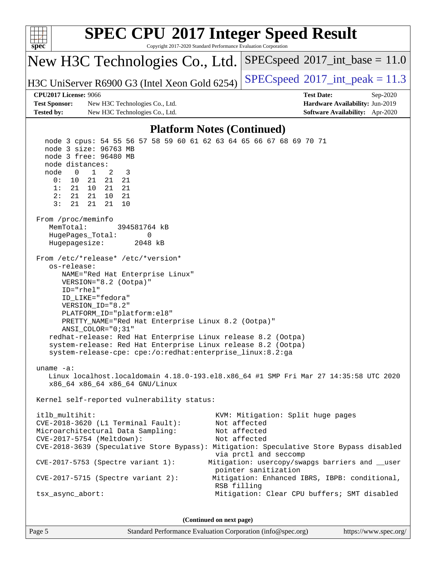| <b>SPEC CPU®2017 Integer Speed Result</b><br>Copyright 2017-2020 Standard Performance Evaluation Corporation<br>$spec^*$                                                                                                                                                                                                                                                                                                                                                                                                                                                                                                                                                                                                                                                                                                                                                                                                                                                                                                                                                                                                                                                                                                                                                                                                            |                                                                          |  |  |  |  |  |
|-------------------------------------------------------------------------------------------------------------------------------------------------------------------------------------------------------------------------------------------------------------------------------------------------------------------------------------------------------------------------------------------------------------------------------------------------------------------------------------------------------------------------------------------------------------------------------------------------------------------------------------------------------------------------------------------------------------------------------------------------------------------------------------------------------------------------------------------------------------------------------------------------------------------------------------------------------------------------------------------------------------------------------------------------------------------------------------------------------------------------------------------------------------------------------------------------------------------------------------------------------------------------------------------------------------------------------------|--------------------------------------------------------------------------|--|--|--|--|--|
| New H3C Technologies Co., Ltd.                                                                                                                                                                                                                                                                                                                                                                                                                                                                                                                                                                                                                                                                                                                                                                                                                                                                                                                                                                                                                                                                                                                                                                                                                                                                                                      | $SPEC speed^{\circ}2017\_int\_base = 11.0$                               |  |  |  |  |  |
| H3C UniServer R6900 G3 (Intel Xeon Gold 6254)                                                                                                                                                                                                                                                                                                                                                                                                                                                                                                                                                                                                                                                                                                                                                                                                                                                                                                                                                                                                                                                                                                                                                                                                                                                                                       | $SPEC speed^{\circ}2017\_int\_peak = 11.3$                               |  |  |  |  |  |
| <b>CPU2017 License: 9066</b>                                                                                                                                                                                                                                                                                                                                                                                                                                                                                                                                                                                                                                                                                                                                                                                                                                                                                                                                                                                                                                                                                                                                                                                                                                                                                                        | <b>Test Date:</b><br>Sep-2020                                            |  |  |  |  |  |
| <b>Test Sponsor:</b><br>New H3C Technologies Co., Ltd.<br><b>Tested by:</b><br>New H3C Technologies Co., Ltd.                                                                                                                                                                                                                                                                                                                                                                                                                                                                                                                                                                                                                                                                                                                                                                                                                                                                                                                                                                                                                                                                                                                                                                                                                       | Hardware Availability: Jun-2019<br>Software Availability: Apr-2020       |  |  |  |  |  |
|                                                                                                                                                                                                                                                                                                                                                                                                                                                                                                                                                                                                                                                                                                                                                                                                                                                                                                                                                                                                                                                                                                                                                                                                                                                                                                                                     |                                                                          |  |  |  |  |  |
| <b>Platform Notes (Continued)</b><br>node 3 cpus: 54 55 56 57 58 59 60 61 62 63 64 65 66 67 68 69 70 71                                                                                                                                                                                                                                                                                                                                                                                                                                                                                                                                                                                                                                                                                                                                                                                                                                                                                                                                                                                                                                                                                                                                                                                                                             |                                                                          |  |  |  |  |  |
| node 3 size: 96763 MB<br>node 3 free: 96480 MB<br>node distances:<br>node<br>$\mathbf 0$<br>$\mathbf{1}$<br>2<br>3<br>21<br>0:<br>10<br>21<br>21<br>1:<br>21<br>10<br>21<br>21<br>2:<br>21<br>21<br>10<br>21<br>3:<br>21<br>21<br>21<br>10<br>From /proc/meminfo<br>MemTotal:<br>394581764 kB<br>HugePages_Total:<br>0<br>Hugepagesize:<br>2048 kB<br>From /etc/*release* /etc/*version*<br>os-release:<br>NAME="Red Hat Enterprise Linux"<br>VERSION="8.2 (Ootpa)"<br>ID="rhel"<br>ID_LIKE="fedora"<br>VERSION_ID="8.2"<br>PLATFORM_ID="platform:el8"<br>PRETTY_NAME="Red Hat Enterprise Linux 8.2 (Ootpa)"<br>ANSI_COLOR="0;31"<br>redhat-release: Red Hat Enterprise Linux release 8.2 (Ootpa)<br>system-release: Red Hat Enterprise Linux release 8.2 (Ootpa)<br>system-release-cpe: cpe:/o:redhat:enterprise_linux:8.2:ga<br>uname $-a$ :<br>Linux localhost.localdomain 4.18.0-193.el8.x86_64 #1 SMP Fri Mar 27 14:35:58 UTC 2020<br>x86_64 x86_64 x86_64 GNU/Linux<br>Kernel self-reported vulnerability status:<br>itlb_multihit:<br>KVM: Mitigation: Split huge pages<br>Not affected<br>$CVE-2018-3620$ (L1 Terminal Fault):<br>Microarchitectural Data Sampling:<br>Not affected<br>CVE-2017-5754 (Meltdown):<br>Not affected<br>CVE-2018-3639 (Speculative Store Bypass): Mitigation: Speculative Store Bypass disabled |                                                                          |  |  |  |  |  |
| $CVE-2017-5753$ (Spectre variant 1):                                                                                                                                                                                                                                                                                                                                                                                                                                                                                                                                                                                                                                                                                                                                                                                                                                                                                                                                                                                                                                                                                                                                                                                                                                                                                                | via prctl and seccomp<br>Mitigation: usercopy/swapgs barriers and __user |  |  |  |  |  |
| $CVE-2017-5715$ (Spectre variant 2):                                                                                                                                                                                                                                                                                                                                                                                                                                                                                                                                                                                                                                                                                                                                                                                                                                                                                                                                                                                                                                                                                                                                                                                                                                                                                                | pointer sanitization<br>Mitigation: Enhanced IBRS, IBPB: conditional,    |  |  |  |  |  |
| tsx_async_abort:                                                                                                                                                                                                                                                                                                                                                                                                                                                                                                                                                                                                                                                                                                                                                                                                                                                                                                                                                                                                                                                                                                                                                                                                                                                                                                                    | RSB filling<br>Mitigation: Clear CPU buffers; SMT disabled               |  |  |  |  |  |
| (Continued on next page)                                                                                                                                                                                                                                                                                                                                                                                                                                                                                                                                                                                                                                                                                                                                                                                                                                                                                                                                                                                                                                                                                                                                                                                                                                                                                                            |                                                                          |  |  |  |  |  |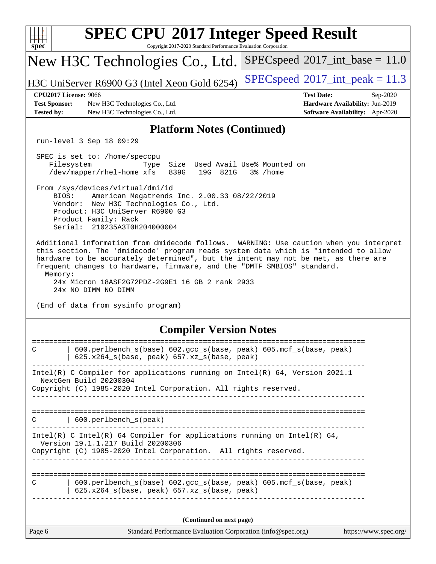| $spec^*$                                                                                                                                                                                                                                                                                                                                                                                                                            | <b>SPEC CPU®2017 Integer Speed Result</b><br>Copyright 2017-2020 Standard Performance Evaluation Corporation                                                                                                         |                                                                                                     |  |  |  |  |  |
|-------------------------------------------------------------------------------------------------------------------------------------------------------------------------------------------------------------------------------------------------------------------------------------------------------------------------------------------------------------------------------------------------------------------------------------|----------------------------------------------------------------------------------------------------------------------------------------------------------------------------------------------------------------------|-----------------------------------------------------------------------------------------------------|--|--|--|--|--|
|                                                                                                                                                                                                                                                                                                                                                                                                                                     | New H3C Technologies Co., Ltd.                                                                                                                                                                                       | $SPEC speed^{\circ}2017\_int\_base = 11.0$                                                          |  |  |  |  |  |
|                                                                                                                                                                                                                                                                                                                                                                                                                                     | H3C UniServer R6900 G3 (Intel Xeon Gold 6254)                                                                                                                                                                        | $SPEC speed^{\circ}2017\_int\_peak = 11.3$                                                          |  |  |  |  |  |
| <b>CPU2017 License: 9066</b><br><b>Test Sponsor:</b><br><b>Tested by:</b>                                                                                                                                                                                                                                                                                                                                                           | New H3C Technologies Co., Ltd.<br>New H3C Technologies Co., Ltd.                                                                                                                                                     | <b>Test Date:</b><br>Sep-2020<br>Hardware Availability: Jun-2019<br>Software Availability: Apr-2020 |  |  |  |  |  |
|                                                                                                                                                                                                                                                                                                                                                                                                                                     | <b>Platform Notes (Continued)</b>                                                                                                                                                                                    |                                                                                                     |  |  |  |  |  |
| run-level 3 Sep 18 09:29                                                                                                                                                                                                                                                                                                                                                                                                            |                                                                                                                                                                                                                      |                                                                                                     |  |  |  |  |  |
| SPEC is set to: /home/speccpu<br>Filesystem<br>/dev/mapper/rhel-home xfs                                                                                                                                                                                                                                                                                                                                                            | Size Used Avail Use% Mounted on<br>Type<br>839G<br>19G 821G                                                                                                                                                          | 3% /home                                                                                            |  |  |  |  |  |
| BIOS:                                                                                                                                                                                                                                                                                                                                                                                                                               | From /sys/devices/virtual/dmi/id<br>American Megatrends Inc. 2.00.33 08/22/2019<br>Vendor: New H3C Technologies Co., Ltd.<br>Product: H3C UniServer R6900 G3<br>Product Family: Rack<br>Serial: 210235A3T0H204000004 |                                                                                                     |  |  |  |  |  |
| Additional information from dmidecode follows. WARNING: Use caution when you interpret<br>this section. The 'dmidecode' program reads system data which is "intended to allow<br>hardware to be accurately determined", but the intent may not be met, as there are<br>frequent changes to hardware, firmware, and the "DMTF SMBIOS" standard.<br>Memory:<br>24x Micron 18ASF2G72PDZ-2G9E1 16 GB 2 rank 2933<br>24x NO DIMM NO DIMM |                                                                                                                                                                                                                      |                                                                                                     |  |  |  |  |  |
| (End of data from sysinfo program)                                                                                                                                                                                                                                                                                                                                                                                                  |                                                                                                                                                                                                                      |                                                                                                     |  |  |  |  |  |
|                                                                                                                                                                                                                                                                                                                                                                                                                                     | <b>Compiler Version Notes</b>                                                                                                                                                                                        |                                                                                                     |  |  |  |  |  |
| $\mathsf{C}$                                                                                                                                                                                                                                                                                                                                                                                                                        | 600.perlbench_s(base) 602.gcc_s(base, peak) 605.mcf_s(base, peak)<br>625.x264_s(base, peak) 657.xz_s(base, peak)                                                                                                     |                                                                                                     |  |  |  |  |  |
| Intel(R) C Compiler for applications running on Intel(R) 64, Version 2021.1<br>NextGen Build 20200304<br>Copyright (C) 1985-2020 Intel Corporation. All rights reserved.                                                                                                                                                                                                                                                            |                                                                                                                                                                                                                      |                                                                                                     |  |  |  |  |  |
|                                                                                                                                                                                                                                                                                                                                                                                                                                     |                                                                                                                                                                                                                      |                                                                                                     |  |  |  |  |  |
| 600.perlbench_s(peak)<br>C                                                                                                                                                                                                                                                                                                                                                                                                          |                                                                                                                                                                                                                      |                                                                                                     |  |  |  |  |  |
| Intel(R) C Intel(R) 64 Compiler for applications running on Intel(R) 64,<br>Version 19.1.1.217 Build 20200306<br>Copyright (C) 1985-2020 Intel Corporation. All rights reserved.<br>_________________                                                                                                                                                                                                                               |                                                                                                                                                                                                                      |                                                                                                     |  |  |  |  |  |
| 600.perlbench_s(base) 602.gcc_s(base, peak) 605.mcf_s(base, peak)<br>C<br>625.x264_s(base, peak) 657.xz_s(base, peak)                                                                                                                                                                                                                                                                                                               |                                                                                                                                                                                                                      |                                                                                                     |  |  |  |  |  |
| (Continued on next page)                                                                                                                                                                                                                                                                                                                                                                                                            |                                                                                                                                                                                                                      |                                                                                                     |  |  |  |  |  |
| Page 6                                                                                                                                                                                                                                                                                                                                                                                                                              | Standard Performance Evaluation Corporation (info@spec.org)                                                                                                                                                          | https://www.spec.org/                                                                               |  |  |  |  |  |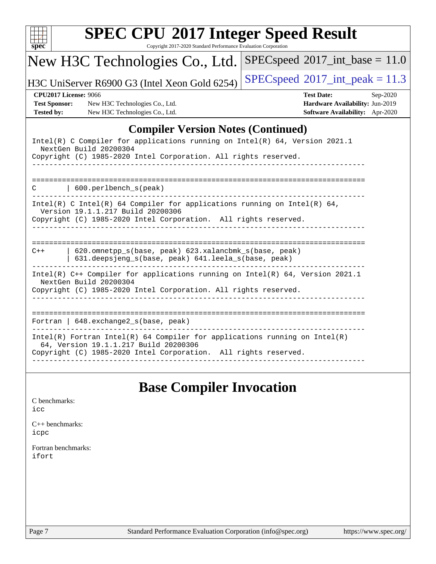| New H3C Technologies Co., Ltd.                                                                                                                                                           | $SPEC speed^{\circ}2017\_int\_base = 11.0$                                                            |
|------------------------------------------------------------------------------------------------------------------------------------------------------------------------------------------|-------------------------------------------------------------------------------------------------------|
| H3C UniServer R6900 G3 (Intel Xeon Gold 6254)                                                                                                                                            | $SPEC speed$ <sup>®</sup> $2017$ _int_peak = 11.3                                                     |
| <b>CPU2017 License: 9066</b><br><b>Test Sponsor:</b><br>New H3C Technologies Co., Ltd.<br>New H3C Technologies Co., Ltd.<br><b>Tested by:</b>                                            | <b>Test Date:</b><br>$Sep-2020$<br>Hardware Availability: Jun-2019<br>Software Availability: Apr-2020 |
|                                                                                                                                                                                          | <b>Compiler Version Notes (Continued)</b>                                                             |
| Intel(R) C Compiler for applications running on Intel(R) 64, Version 2021.1<br>NextGen Build 20200304<br>Copyright (C) 1985-2020 Intel Corporation. All rights reserved.                 |                                                                                                       |
| 600.perlbench_s(peak)<br>◠                                                                                                                                                               |                                                                                                       |
| Intel(R) C Intel(R) 64 Compiler for applications running on Intel(R) 64,<br>Version 19.1.1.217 Build 20200306<br>Copyright (C) 1985-2020 Intel Corporation. All rights reserved.         |                                                                                                       |
| 620.omnetpp_s(base, peak) 623.xalancbmk_s(base, peak)<br>$C++$<br>631.deepsjeng_s(base, peak) 641.leela_s(base, peak)                                                                    |                                                                                                       |
| Intel(R) C++ Compiler for applications running on Intel(R) 64, Version 2021.1<br>NextGen Build 20200304<br>Copyright (C) 1985-2020 Intel Corporation. All rights reserved.               |                                                                                                       |
| Fortran   648. exchange2_s(base, peak)                                                                                                                                                   | _____________________________________                                                                 |
| $Intel(R)$ Fortran Intel(R) 64 Compiler for applications running on Intel(R)<br>64, Version 19.1.1.217 Build 20200306<br>Copyright (C) 1985-2020 Intel Corporation. All rights reserved. |                                                                                                       |

## **[Base Compiler Invocation](http://www.spec.org/auto/cpu2017/Docs/result-fields.html#BaseCompilerInvocation)**

| C benchmarks: |
|---------------|
| icc           |

[C++ benchmarks:](http://www.spec.org/auto/cpu2017/Docs/result-fields.html#CXXbenchmarks) [icpc](http://www.spec.org/cpu2017/results/res2020q4/cpu2017-20200927-24043.flags.html#user_CXXbase_intel_icpc_c510b6838c7f56d33e37e94d029a35b4a7bccf4766a728ee175e80a419847e808290a9b78be685c44ab727ea267ec2f070ec5dc83b407c0218cded6866a35d07)

[Fortran benchmarks](http://www.spec.org/auto/cpu2017/Docs/result-fields.html#Fortranbenchmarks): [ifort](http://www.spec.org/cpu2017/results/res2020q4/cpu2017-20200927-24043.flags.html#user_FCbase_intel_ifort_8111460550e3ca792625aed983ce982f94888b8b503583aa7ba2b8303487b4d8a21a13e7191a45c5fd58ff318f48f9492884d4413fa793fd88dd292cad7027ca)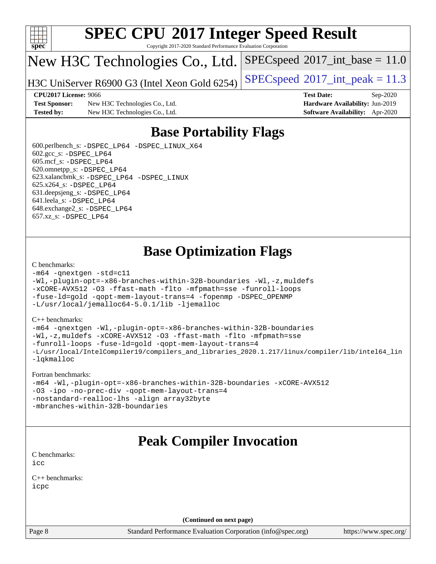

Copyright 2017-2020 Standard Performance Evaluation Corporation

## New H3C Technologies Co., Ltd.

H3C UniServer R6900 G3 (Intel Xeon Gold 6254) [SPECspeed](http://www.spec.org/auto/cpu2017/Docs/result-fields.html#SPECspeed2017intpeak)®[2017\\_int\\_peak = 1](http://www.spec.org/auto/cpu2017/Docs/result-fields.html#SPECspeed2017intpeak)1.3

 $SPECspeed^{\circ}2017\_int\_base = 11.0$  $SPECspeed^{\circ}2017\_int\_base = 11.0$ 

**[Test Sponsor:](http://www.spec.org/auto/cpu2017/Docs/result-fields.html#TestSponsor)** New H3C Technologies Co., Ltd. **[Hardware Availability:](http://www.spec.org/auto/cpu2017/Docs/result-fields.html#HardwareAvailability)** Jun-2019 **[Tested by:](http://www.spec.org/auto/cpu2017/Docs/result-fields.html#Testedby)** New H3C Technologies Co., Ltd. **[Software Availability:](http://www.spec.org/auto/cpu2017/Docs/result-fields.html#SoftwareAvailability)** Apr-2020

**[CPU2017 License:](http://www.spec.org/auto/cpu2017/Docs/result-fields.html#CPU2017License)** 9066 **[Test Date:](http://www.spec.org/auto/cpu2017/Docs/result-fields.html#TestDate)** Sep-2020

## **[Base Portability Flags](http://www.spec.org/auto/cpu2017/Docs/result-fields.html#BasePortabilityFlags)**

 600.perlbench\_s: [-DSPEC\\_LP64](http://www.spec.org/cpu2017/results/res2020q4/cpu2017-20200927-24043.flags.html#b600.perlbench_s_basePORTABILITY_DSPEC_LP64) [-DSPEC\\_LINUX\\_X64](http://www.spec.org/cpu2017/results/res2020q4/cpu2017-20200927-24043.flags.html#b600.perlbench_s_baseCPORTABILITY_DSPEC_LINUX_X64) 602.gcc\_s: [-DSPEC\\_LP64](http://www.spec.org/cpu2017/results/res2020q4/cpu2017-20200927-24043.flags.html#suite_basePORTABILITY602_gcc_s_DSPEC_LP64) 605.mcf\_s: [-DSPEC\\_LP64](http://www.spec.org/cpu2017/results/res2020q4/cpu2017-20200927-24043.flags.html#suite_basePORTABILITY605_mcf_s_DSPEC_LP64) 620.omnetpp\_s: [-DSPEC\\_LP64](http://www.spec.org/cpu2017/results/res2020q4/cpu2017-20200927-24043.flags.html#suite_basePORTABILITY620_omnetpp_s_DSPEC_LP64) 623.xalancbmk\_s: [-DSPEC\\_LP64](http://www.spec.org/cpu2017/results/res2020q4/cpu2017-20200927-24043.flags.html#suite_basePORTABILITY623_xalancbmk_s_DSPEC_LP64) [-DSPEC\\_LINUX](http://www.spec.org/cpu2017/results/res2020q4/cpu2017-20200927-24043.flags.html#b623.xalancbmk_s_baseCXXPORTABILITY_DSPEC_LINUX) 625.x264\_s: [-DSPEC\\_LP64](http://www.spec.org/cpu2017/results/res2020q4/cpu2017-20200927-24043.flags.html#suite_basePORTABILITY625_x264_s_DSPEC_LP64) 631.deepsjeng\_s: [-DSPEC\\_LP64](http://www.spec.org/cpu2017/results/res2020q4/cpu2017-20200927-24043.flags.html#suite_basePORTABILITY631_deepsjeng_s_DSPEC_LP64) 641.leela\_s: [-DSPEC\\_LP64](http://www.spec.org/cpu2017/results/res2020q4/cpu2017-20200927-24043.flags.html#suite_basePORTABILITY641_leela_s_DSPEC_LP64) 648.exchange2\_s: [-DSPEC\\_LP64](http://www.spec.org/cpu2017/results/res2020q4/cpu2017-20200927-24043.flags.html#suite_basePORTABILITY648_exchange2_s_DSPEC_LP64) 657.xz\_s: [-DSPEC\\_LP64](http://www.spec.org/cpu2017/results/res2020q4/cpu2017-20200927-24043.flags.html#suite_basePORTABILITY657_xz_s_DSPEC_LP64)

## **[Base Optimization Flags](http://www.spec.org/auto/cpu2017/Docs/result-fields.html#BaseOptimizationFlags)**

### [C benchmarks](http://www.spec.org/auto/cpu2017/Docs/result-fields.html#Cbenchmarks):

```
-m64 -qnextgen -std=c11
-Wl,-plugin-opt=-x86-branches-within-32B-boundaries -Wl,-z,muldefs
-xCORE-AVX512 -O3 -ffast-math -flto -mfpmath=sse -funroll-loops
-fuse-ld=gold -qopt-mem-layout-trans=4 -fopenmp -DSPEC_OPENMP
-L/usr/local/jemalloc64-5.0.1/lib -ljemalloc
```
### [C++ benchmarks:](http://www.spec.org/auto/cpu2017/Docs/result-fields.html#CXXbenchmarks)

```
-m64 -qnextgen -Wl,-plugin-opt=-x86-branches-within-32B-boundaries
-Wl,-z,muldefs -xCORE-AVX512 -O3 -ffast-math -flto -mfpmath=sse
-funroll-loops -fuse-ld=gold -qopt-mem-layout-trans=4
-L/usr/local/IntelCompiler19/compilers_and_libraries_2020.1.217/linux/compiler/lib/intel64_lin
-lqkmalloc
```
### [Fortran benchmarks:](http://www.spec.org/auto/cpu2017/Docs/result-fields.html#Fortranbenchmarks)

```
-m64 -Wl,-plugin-opt=-x86-branches-within-32B-boundaries -xCORE-AVX512
-O3 -ipo -no-prec-div -qopt-mem-layout-trans=4
-nostandard-realloc-lhs -align array32byte
-mbranches-within-32B-boundaries
```
## **[Peak Compiler Invocation](http://www.spec.org/auto/cpu2017/Docs/result-fields.html#PeakCompilerInvocation)**

[C benchmarks](http://www.spec.org/auto/cpu2017/Docs/result-fields.html#Cbenchmarks): [icc](http://www.spec.org/cpu2017/results/res2020q4/cpu2017-20200927-24043.flags.html#user_CCpeak_intel_icc_66fc1ee009f7361af1fbd72ca7dcefbb700085f36577c54f309893dd4ec40d12360134090235512931783d35fd58c0460139e722d5067c5574d8eaf2b3e37e92)

[C++ benchmarks:](http://www.spec.org/auto/cpu2017/Docs/result-fields.html#CXXbenchmarks) [icpc](http://www.spec.org/cpu2017/results/res2020q4/cpu2017-20200927-24043.flags.html#user_CXXpeak_intel_icpc_c510b6838c7f56d33e37e94d029a35b4a7bccf4766a728ee175e80a419847e808290a9b78be685c44ab727ea267ec2f070ec5dc83b407c0218cded6866a35d07)

**(Continued on next page)**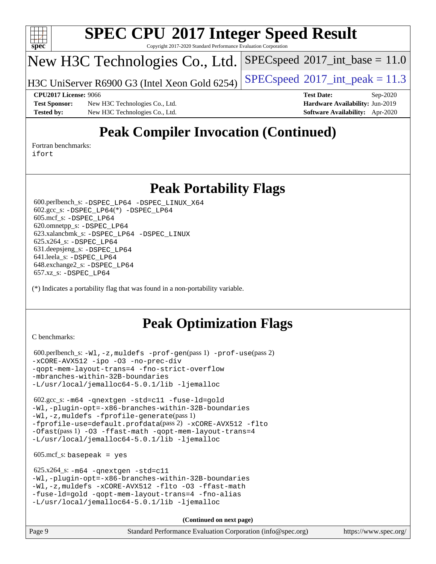

Copyright 2017-2020 Standard Performance Evaluation Corporation

## New H3C Technologies Co., Ltd.

H3C UniServer R6900 G3 (Intel Xeon Gold 6254) [SPECspeed](http://www.spec.org/auto/cpu2017/Docs/result-fields.html#SPECspeed2017intpeak)®[2017\\_int\\_peak = 1](http://www.spec.org/auto/cpu2017/Docs/result-fields.html#SPECspeed2017intpeak)1.3

 $SPECspeed^{\circledcirc}2017\_int\_base = 11.0$  $SPECspeed^{\circledcirc}2017\_int\_base = 11.0$ 

**[Test Sponsor:](http://www.spec.org/auto/cpu2017/Docs/result-fields.html#TestSponsor)** New H3C Technologies Co., Ltd. **[Hardware Availability:](http://www.spec.org/auto/cpu2017/Docs/result-fields.html#HardwareAvailability)** Jun-2019 **[Tested by:](http://www.spec.org/auto/cpu2017/Docs/result-fields.html#Testedby)** New H3C Technologies Co., Ltd. **[Software Availability:](http://www.spec.org/auto/cpu2017/Docs/result-fields.html#SoftwareAvailability)** Apr-2020

**[CPU2017 License:](http://www.spec.org/auto/cpu2017/Docs/result-fields.html#CPU2017License)** 9066 **[Test Date:](http://www.spec.org/auto/cpu2017/Docs/result-fields.html#TestDate)** Sep-2020

## **[Peak Compiler Invocation \(Continued\)](http://www.spec.org/auto/cpu2017/Docs/result-fields.html#PeakCompilerInvocation)**

[Fortran benchmarks](http://www.spec.org/auto/cpu2017/Docs/result-fields.html#Fortranbenchmarks): [ifort](http://www.spec.org/cpu2017/results/res2020q4/cpu2017-20200927-24043.flags.html#user_FCpeak_intel_ifort_8111460550e3ca792625aed983ce982f94888b8b503583aa7ba2b8303487b4d8a21a13e7191a45c5fd58ff318f48f9492884d4413fa793fd88dd292cad7027ca)

## **[Peak Portability Flags](http://www.spec.org/auto/cpu2017/Docs/result-fields.html#PeakPortabilityFlags)**

 600.perlbench\_s: [-DSPEC\\_LP64](http://www.spec.org/cpu2017/results/res2020q4/cpu2017-20200927-24043.flags.html#b600.perlbench_s_peakPORTABILITY_DSPEC_LP64) [-DSPEC\\_LINUX\\_X64](http://www.spec.org/cpu2017/results/res2020q4/cpu2017-20200927-24043.flags.html#b600.perlbench_s_peakCPORTABILITY_DSPEC_LINUX_X64) 602.gcc\_s: [-DSPEC\\_LP64](http://www.spec.org/cpu2017/results/res2020q4/cpu2017-20200927-24043.flags.html#suite_peakCCLD602_gcc_s_DSPEC_LP64)(\*) [-DSPEC\\_LP64](http://www.spec.org/cpu2017/results/res2020q4/cpu2017-20200927-24043.flags.html#suite_peakPORTABILITY602_gcc_s_DSPEC_LP64) 605.mcf\_s: [-DSPEC\\_LP64](http://www.spec.org/cpu2017/results/res2020q4/cpu2017-20200927-24043.flags.html#suite_peakPORTABILITY605_mcf_s_DSPEC_LP64) 620.omnetpp\_s: [-DSPEC\\_LP64](http://www.spec.org/cpu2017/results/res2020q4/cpu2017-20200927-24043.flags.html#suite_peakPORTABILITY620_omnetpp_s_DSPEC_LP64) 623.xalancbmk\_s: [-DSPEC\\_LP64](http://www.spec.org/cpu2017/results/res2020q4/cpu2017-20200927-24043.flags.html#suite_peakPORTABILITY623_xalancbmk_s_DSPEC_LP64) [-DSPEC\\_LINUX](http://www.spec.org/cpu2017/results/res2020q4/cpu2017-20200927-24043.flags.html#b623.xalancbmk_s_peakCXXPORTABILITY_DSPEC_LINUX) 625.x264\_s: [-DSPEC\\_LP64](http://www.spec.org/cpu2017/results/res2020q4/cpu2017-20200927-24043.flags.html#suite_peakPORTABILITY625_x264_s_DSPEC_LP64) 631.deepsjeng\_s: [-DSPEC\\_LP64](http://www.spec.org/cpu2017/results/res2020q4/cpu2017-20200927-24043.flags.html#suite_peakPORTABILITY631_deepsjeng_s_DSPEC_LP64) 641.leela\_s: [-DSPEC\\_LP64](http://www.spec.org/cpu2017/results/res2020q4/cpu2017-20200927-24043.flags.html#suite_peakPORTABILITY641_leela_s_DSPEC_LP64) 648.exchange2\_s: [-DSPEC\\_LP64](http://www.spec.org/cpu2017/results/res2020q4/cpu2017-20200927-24043.flags.html#suite_peakPORTABILITY648_exchange2_s_DSPEC_LP64) 657.xz\_s: [-DSPEC\\_LP64](http://www.spec.org/cpu2017/results/res2020q4/cpu2017-20200927-24043.flags.html#suite_peakPORTABILITY657_xz_s_DSPEC_LP64)

(\*) Indicates a portability flag that was found in a non-portability variable.

## **[Peak Optimization Flags](http://www.spec.org/auto/cpu2017/Docs/result-fields.html#PeakOptimizationFlags)**

[C benchmarks](http://www.spec.org/auto/cpu2017/Docs/result-fields.html#Cbenchmarks):

```
 600.perlbench_s: -Wl,-z,muldefs -prof-gen(pass 1) -prof-use(pass 2)
-xCORE-AVX512 -ipo -O3 -no-prec-div
-qopt-mem-layout-trans=4 -fno-strict-overflow
-mbranches-within-32B-boundaries
-L/usr/local/jemalloc64-5.0.1/lib -ljemalloc
```
 602.gcc\_s: [-m64](http://www.spec.org/cpu2017/results/res2020q4/cpu2017-20200927-24043.flags.html#user_peakCCLD602_gcc_s_m64-icc) [-qnextgen](http://www.spec.org/cpu2017/results/res2020q4/cpu2017-20200927-24043.flags.html#user_peakCCLD602_gcc_s_f-qnextgen) [-std=c11](http://www.spec.org/cpu2017/results/res2020q4/cpu2017-20200927-24043.flags.html#user_peakCCLD602_gcc_s_std-icc-std_0e1c27790398a4642dfca32ffe6c27b5796f9c2d2676156f2e42c9c44eaad0c049b1cdb667a270c34d979996257aeb8fc440bfb01818dbc9357bd9d174cb8524) [-fuse-ld=gold](http://www.spec.org/cpu2017/results/res2020q4/cpu2017-20200927-24043.flags.html#user_peakCCLD602_gcc_s_f-fuse-ld_920b3586e2b8c6e0748b9c84fa9b744736ba725a32cab14ad8f3d4ad28eecb2f59d1144823d2e17006539a88734fe1fc08fc3035f7676166309105a78aaabc32) [-Wl,-plugin-opt=-x86-branches-within-32B-boundaries](http://www.spec.org/cpu2017/results/res2020q4/cpu2017-20200927-24043.flags.html#user_peakLDFLAGS602_gcc_s_f-x86-branches-within-32B-boundaries_0098b4e4317ae60947b7b728078a624952a08ac37a3c797dfb4ffeb399e0c61a9dd0f2f44ce917e9361fb9076ccb15e7824594512dd315205382d84209e912f3) [-Wl,-z,muldefs](http://www.spec.org/cpu2017/results/res2020q4/cpu2017-20200927-24043.flags.html#user_peakEXTRA_LDFLAGS602_gcc_s_link_force_multiple1_b4cbdb97b34bdee9ceefcfe54f4c8ea74255f0b02a4b23e853cdb0e18eb4525ac79b5a88067c842dd0ee6996c24547a27a4b99331201badda8798ef8a743f577) [-fprofile-generate](http://www.spec.org/cpu2017/results/res2020q4/cpu2017-20200927-24043.flags.html#user_peakPASS1_CFLAGSPASS1_LDFLAGS602_gcc_s_fprofile-generate)(pass 1) [-fprofile-use=default.profdata](http://www.spec.org/cpu2017/results/res2020q4/cpu2017-20200927-24043.flags.html#user_peakPASS2_CFLAGSPASS2_LDFLAGS602_gcc_s_fprofile-use_56aeee182b92ec249f9670f17c9b8e7d83fe2d25538e35a2cf64c434b579a2235a8b8fc66ef5678d24461366bbab9d486c870d8a72905233fc08e43eefe3cd80)(pass 2) [-xCORE-AVX512](http://www.spec.org/cpu2017/results/res2020q4/cpu2017-20200927-24043.flags.html#user_peakCOPTIMIZEPASS1_CFLAGSPASS1_LDFLAGS602_gcc_s_f-xCORE-AVX512) [-flto](http://www.spec.org/cpu2017/results/res2020q4/cpu2017-20200927-24043.flags.html#user_peakCOPTIMIZEPASS1_CFLAGSPASS1_LDFLAGS602_gcc_s_f-flto) [-Ofast](http://www.spec.org/cpu2017/results/res2020q4/cpu2017-20200927-24043.flags.html#user_peakPASS1_CFLAGSPASS1_LDFLAGS602_gcc_s_f-Ofast)(pass 1) [-O3](http://www.spec.org/cpu2017/results/res2020q4/cpu2017-20200927-24043.flags.html#user_peakCOPTIMIZE602_gcc_s_f-O3) [-ffast-math](http://www.spec.org/cpu2017/results/res2020q4/cpu2017-20200927-24043.flags.html#user_peakCOPTIMIZE602_gcc_s_f-ffast-math) [-qopt-mem-layout-trans=4](http://www.spec.org/cpu2017/results/res2020q4/cpu2017-20200927-24043.flags.html#user_peakCOPTIMIZE602_gcc_s_f-qopt-mem-layout-trans_fa39e755916c150a61361b7846f310bcdf6f04e385ef281cadf3647acec3f0ae266d1a1d22d972a7087a248fd4e6ca390a3634700869573d231a252c784941a8) [-L/usr/local/jemalloc64-5.0.1/lib](http://www.spec.org/cpu2017/results/res2020q4/cpu2017-20200927-24043.flags.html#user_peakEXTRA_LIBS602_gcc_s_jemalloc_link_path64_1_cc289568b1a6c0fd3b62c91b824c27fcb5af5e8098e6ad028160d21144ef1b8aef3170d2acf0bee98a8da324cfe4f67d0a3d0c4cc4673d993d694dc2a0df248b) [-ljemalloc](http://www.spec.org/cpu2017/results/res2020q4/cpu2017-20200927-24043.flags.html#user_peakEXTRA_LIBS602_gcc_s_jemalloc_link_lib_d1249b907c500fa1c0672f44f562e3d0f79738ae9e3c4a9c376d49f265a04b9c99b167ecedbf6711b3085be911c67ff61f150a17b3472be731631ba4d0471706)

 $605.\text{mcf}\text{ s}:$  basepeak = yes

```
 625.x264_s: -m64 -qnextgen -std=c11
-Wl,-plugin-opt=-x86-branches-within-32B-boundaries
-Wl,-z,muldefs -xCORE-AVX512 -flto -O3 -ffast-math
-fuse-ld=gold -qopt-mem-layout-trans=4 -fno-alias
-L/usr/local/jemalloc64-5.0.1/lib -ljemalloc
```
**(Continued on next page)**

Page 9 Standard Performance Evaluation Corporation [\(info@spec.org\)](mailto:info@spec.org) <https://www.spec.org/>